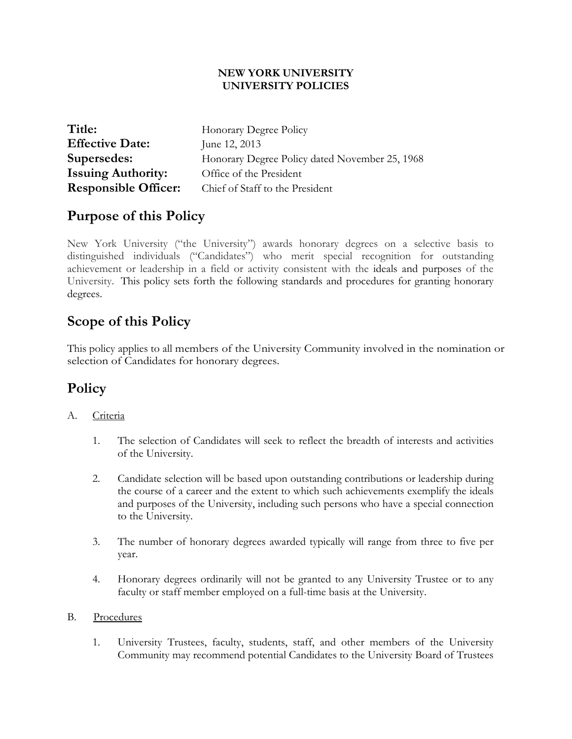#### **NEW YORK UNIVERSITY UNIVERSITY POLICIES**

| Title:                      | Honorary Degree Policy                         |
|-----------------------------|------------------------------------------------|
| <b>Effective Date:</b>      | June 12, 2013                                  |
| Supersedes:                 | Honorary Degree Policy dated November 25, 1968 |
| <b>Issuing Authority:</b>   | Office of the President                        |
| <b>Responsible Officer:</b> | Chief of Staff to the President                |

### **Purpose of this Policy**

New York University ("the University") awards honorary degrees on a selective basis to distinguished individuals ("Candidates") who merit special recognition for outstanding achievement or leadership in a field or activity consistent with the ideals and purposes of the University. This policy sets forth the following standards and procedures for granting honorary degrees.

## **Scope of this Policy**

This policy applies to all members of the University Community involved in the nomination or selection of Candidates for honorary degrees.

## **Policy**

#### A. Criteria

- 1. The selection of Candidates will seek to reflect the breadth of interests and activities of the University.
- 2. Candidate selection will be based upon outstanding contributions or leadership during the course of a career and the extent to which such achievements exemplify the ideals and purposes of the University, including such persons who have a special connection to the University.
- 3. The number of honorary degrees awarded typically will range from three to five per year.
- 4. Honorary degrees ordinarily will not be granted to any University Trustee or to any faculty or staff member employed on a full-time basis at the University.

#### B.Procedures

1. University Trustees, faculty, students, staff, and other members of the University Community may recommend potential Candidates to the University Board of Trustees